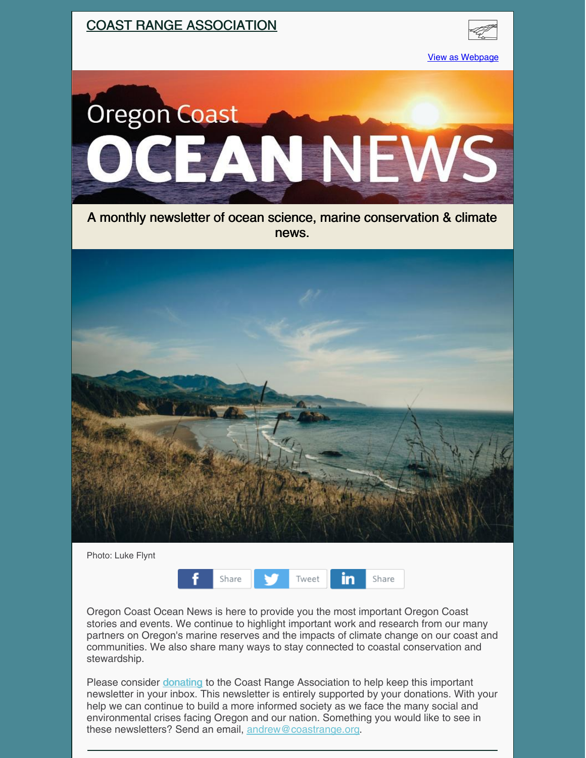

| Photo: Luke Flynt |       |       |
|-------------------|-------|-------|
|                   | Share | Tweet |

Oregon Coast Ocean News is here to provide you the most important Oregon Coast stories and events. We continue to highlight important work and research from our many partners on Oregon's marine reserves and the impacts of climate change on our coast and communities. We also share many ways to stay connected to coastal conservation and stewardship.

in

Share

Please consider *[donating](https://coastrange.org/donate/)* to the Coast Range Association to help keep this important newsletter in your inbox. This newsletter is entirely supported by your donations. With your help we can continue to build a more informed society as we face the many social and environmental crises facing Oregon and our nation. Something you would like to see in these newsletters? Send an email, [andrew@coastrange.org](mailto:andrew@coastrange.org).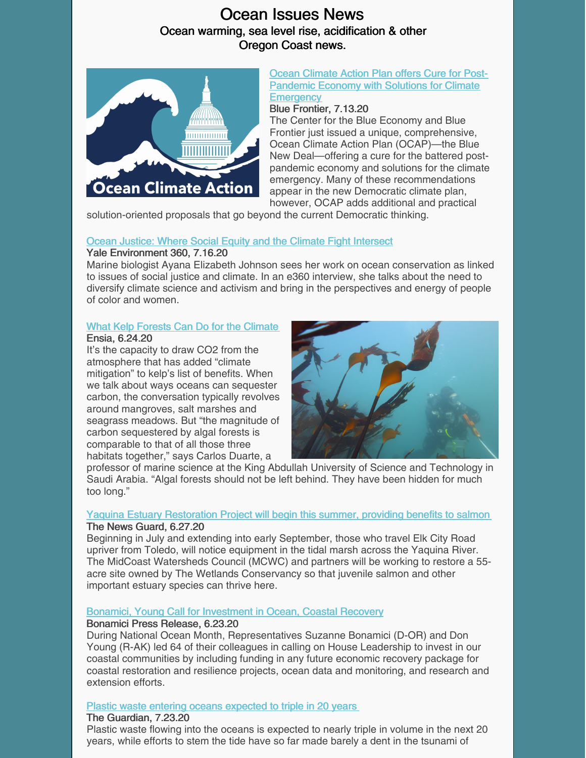## Ocean Issues News Ocean warming, sea level rise, acidification & other Oregon Coast news.



#### Ocean Climate Action Plan offers Cure for Post-Pandemic Economy with Solutions for Climate **[Emergency](https://bluefront.org/blue-new-deal/)**

### Blue Frontier, 7.13.20

The Center for the Blue Economy and Blue Frontier just issued a unique, comprehensive, Ocean Climate Action Plan (OCAP)—the Blue New Deal—offering a cure for the battered postpandemic economy and solutions for the climate emergency. Many of these recommendations appear in the new Democratic climate plan, however, OCAP adds additional and practical

solution-oriented proposals that go beyond the current Democratic thinking.

### Ocean Justice: Where Social Equity and the Climate Fight [Intersect](https://e360.yale.edu/features/ocean-justice-where-social-equity-and-the-climate-fight-intersect)

### Yale Environment 360, 7.16.20

Marine biologist Ayana Elizabeth Johnson sees her work on ocean conservation as linked to issues of social justice and climate. In an e360 interview, she talks about the need to diversify climate science and activism and bring in the perspectives and energy of people of color and women.

### What Kelp Forests Can Do for the [Climate](https://ensia.com/features/kelp-carbon-sequestration-climate-mitigation/)

#### Ensia, 6.24.20

It's the capacity to draw CO2 from the atmosphere that has added "climate mitigation" to kelp's list of benefits. When we talk about ways oceans can sequester carbon, the conversation typically revolves around mangroves, salt marshes and seagrass meadows. But "the magnitude of carbon sequestered by algal forests is comparable to that of all those three habitats together," says Carlos Duarte, a



professor of marine science at the King Abdullah University of Science and Technology in Saudi Arabia. "Algal forests should not be left behind. They have been hidden for much too long."

### Yaquina Estuary [Restoration](https://www.thenewsguard.com/community/yaquina-estuary-restoration-project-will-begin-this-summer-providing-benefits-to-salmon/article_e96e8324-b7cf-11ea-90d9-4f6e1f4aba20.html) Project will begin this summer, providing benefits to salmon

### The News Guard, 6.27.20

Beginning in July and extending into early September, those who travel Elk City Road upriver from Toledo, will notice equipment in the tidal marsh across the Yaquina River. The MidCoast Watersheds Council (MCWC) and partners will be working to restore a 55 acre site owned by The Wetlands Conservancy so that juvenile salmon and other important estuary species can thrive here.

### Bonamici, Young Call for [Investment](https://bonamici.house.gov/media/press-releases/bonamici-young-call-investment-ocean-coastal-recovery) in Ocean, Coastal Recovery

### Bonamici Press Release, 6.23.20

During National Ocean Month, Representatives Suzanne Bonamici (D-OR) and Don Young (R-AK) led 64 of their colleagues in calling on House Leadership to invest in our coastal communities by including funding in any future economic recovery package for coastal restoration and resilience projects, ocean data and monitoring, and research and extension efforts.

### Plastic waste entering oceans [expected](https://www.theguardian.com/environment/2020/jul/23/plastic-waste-entering-oceans-triple-20-years-research) to triple in 20 years

### The Guardian, 7.23.20

Plastic waste flowing into the oceans is expected to nearly triple in volume in the next 20 years, while efforts to stem the tide have so far made barely a dent in the tsunami of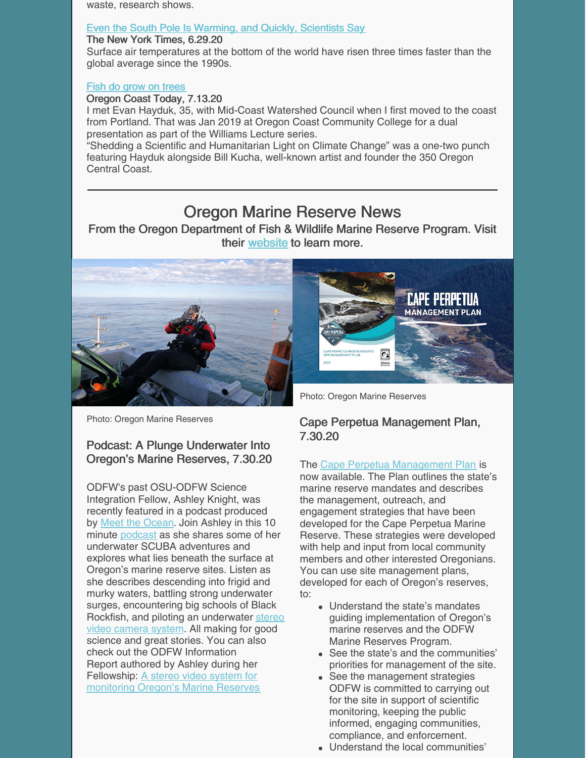waste, research shows.

#### Even the South Pole Is [Warming,](https://www.nytimes.com/2020/06/29/climate/south-pole-warming-climate-change.html) and Quickly, Scientists Say

#### The New York Times, 6.29.20

Surface air temperatures at the bottom of the world have risen three times faster than the global average since the 1990s.

#### Fish do grow on [trees](https://www.oregoncoasttoday.com/deep-dive/fish-do-grow-on-trees)

#### Oregon Coast Today, 7.13.20

I met Evan Hayduk, 35, with Mid-Coast Watershed Council when I first moved to the coast from Portland. That was Jan 2019 at Oregon Coast Community College for a dual presentation as part of the Williams Lecture series.

"Shedding a Scientific and Humanitarian Light on Climate Change" was a one-two punch featuring Hayduk alongside Bill Kucha, well-known artist and founder the 350 Oregon Central Coast.

## Oregon Marine Reserve News

From the Oregon Department of Fish & Wildlife Marine Reserve Program. Visit their [website](https://oregonmarinereserves.com) to learn more.





Photo: Oregon Marine Reserves

### Podcast: A Plunge Underwater Into Oregon's Marine Reserves, 7.30.20

ODFW's past OSU-ODFW Science Integration Fellow, Ashley Knight, was recently featured in a podcast produced by Meet the [Ocean](https://lnks.gd/l/eyJhbGciOiJIUzI1NiJ9.eyJidWxsZXRpbl9saW5rX2lkIjoxMDEsInVyaSI6ImJwMjpjbGljayIsImJ1bGxldGluX2lkIjoiMjAyMDA3MzAuMjUwNjg2NDEiLCJ1cmwiOiJodHRwczovL3d3dy5tZWV0dGhlb2NlYW4ub3JnLyJ9.gItPW-YZcG0PE6vEqmTV--Y2wQ4aOBUJA7TiiL6lMU0/s/995218296/br/81684193149-l). Join Ashley in this 10 minute [podcast](https://lnks.gd/l/eyJhbGciOiJIUzI1NiJ9.eyJidWxsZXRpbl9saW5rX2lkIjoxMDIsInVyaSI6ImJwMjpjbGljayIsImJ1bGxldGluX2lkIjoiMjAyMDA3MzAuMjUwNjg2NDEiLCJ1cmwiOiJodHRwczovL3BvZGNhc3RzLmFwcGxlLmNvbS91cy9wb2RjYXN0L21lZXQtdGhlLW9jZWFuL2lkMTE4NzY3Mzk1OD9pPTEwMDA0NTk3NTIxNzMifQ.IxdxThrbPKQ_0i111FTEPCjS_CT9FtDYe6TRWk3Aios/s/995218296/br/81684193149-l) as she shares some of her underwater SCUBA adventures and explores what lies beneath the surface at Oregon's marine reserve sites. Listen as she describes descending into frigid and murky waters, battling strong underwater surges, encountering big schools of Black Rockfish, and piloting an [underwater](https://lnks.gd/l/eyJhbGciOiJIUzI1NiJ9.eyJidWxsZXRpbl9saW5rX2lkIjoxMDMsInVyaSI6ImJwMjpjbGljayIsImJ1bGxldGluX2lkIjoiMjAyMDA3MzAuMjUwNjg2NDEiLCJ1cmwiOiJodHRwczovL29yZWdvbm1hcmluZXJlc2VydmVzLmNvbS8yMDE2LzA2LzMwL3N0ZXJlby8ifQ.1jDz5RydJMdOJjxFKxkGNDMxhp56a50pmlpn2cRoLrU/s/995218296/br/81684193149-l) stereo video camera system. All making for good science and great stories. You can also check out the ODFW Information Report authored by Ashley during her [Fellowship:](https://lnks.gd/l/eyJhbGciOiJIUzI1NiJ9.eyJidWxsZXRpbl9saW5rX2lkIjoxMDQsInVyaSI6ImJwMjpjbGljayIsImJ1bGxldGluX2lkIjoiMjAyMDA3MzAuMjUwNjg2NDEiLCJ1cmwiOiJodHRwczovL2RyaXZlLmdvb2dsZS5jb20vZmlsZS9kLzFSU0VDTGhtV2VUSkZGMHk0SEc4bU5kcUVXYlhNMTZSOS92aWV3In0.mu3rtx8sz7aXfUtdGJ8jze9sK5U2v35n7T0IF6kRC1g/s/995218296/br/81684193149-l) A stereo video system for monitoring Oregon's Marine Reserves

Photo: Oregon Marine Reserves

### Cape Perpetua Management Plan, 7.30.20

The Cape Perpetua [Management](https://lnks.gd/l/eyJhbGciOiJIUzI1NiJ9.eyJidWxsZXRpbl9saW5rX2lkIjoxMTAsInVyaSI6ImJwMjpjbGljayIsImJ1bGxldGluX2lkIjoiMjAyMDA3MzAuMjUwNjg2NDEiLCJ1cmwiOiJodHRwczovL29yZWdvbm1hcmluZXJlc2VydmVzLmNvbS9jb250ZW50L3VwbG9hZHMvMjAyMC8wNy9DYXBlLVBlcnBldHVhLU1hbmFnZW1lbnQtUGxhbi0yMDIwLnBkZiJ9.zQWNdOyPdtygi18Lw1UOVfiP_f7M9XV6hMr_vv6Z7Cc/s/995218296/br/81684193149-l) Plan is now available. The Plan outlines the state's marine reserve mandates and describes the management, outreach, and engagement strategies that have been developed for the Cape Perpetua Marine Reserve. These strategies were developed with help and input from local community members and other interested Oregonians. You can use site management plans, developed for each of Oregon's reserves, to:

- Understand the state's mandates guiding implementation of Oregon's marine reserves and the ODFW Marine Reserves Program.
- See the state's and the communities' priorities for management of the site.
- See the management strategies ODFW is committed to carrying out for the site in support of scientific monitoring, keeping the public informed, engaging communities, compliance, and enforcement.
- Understand the local communities'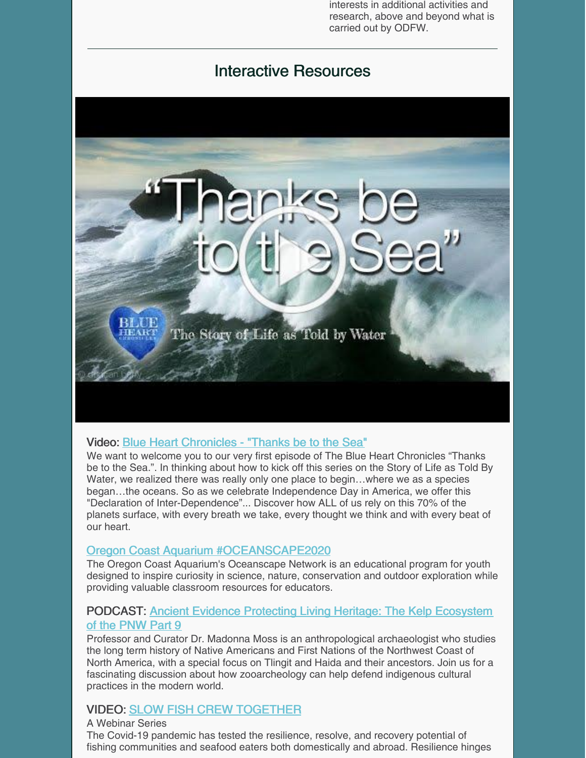interests in additional activities and research, above and beyond what is carried out by ODFW.

## Interactive Resources



### Video: Blue Heart [Chronicles](https://youtu.be/3htEd6oz2is) - "Thanks be to the Sea"

We want to welcome you to our very first episode of The Blue Heart Chronicles "Thanks be to the Sea.". In thinking about how to kick off this series on the Story of Life as Told By Water, we realized there was really only one place to begin...where we as a species began…the oceans. So as we celebrate Independence Day in America, we offer this "Declaration of Inter-Dependence"... Discover how ALL of us rely on this 70% of the planets surface, with every breath we take, every thought we think and with every beat of our heart.

### Oregon Coast Aquarium [#OCEANSCAPE2020](https://www.oceanscape-aquarium.org)

The Oregon Coast Aquarium's Oceanscape Network is an educational program for youth designed to inspire curiosity in science, nature, conservation and outdoor exploration while providing valuable classroom resources for educators.

### [PODCAST:](https://www.stitcher.com/podcast/northwest-nature-matters/e/75051193?autoplay=true) Ancient Evidence Protecting Living Heritage: The Kelp Ecosystem of the PNW Part 9

Professor and Curator Dr. Madonna Moss is an anthropological archaeologist who studies the long term history of Native Americans and First Nations of the Northwest Coast of North America, with a special focus on Tlingit and Haida and their ancestors. Join us for a fascinating discussion about how zooarcheology can help defend indigenous cultural practices in the modern world.

### VIDEO: SLOW FISH CREW [TOGETHER](https://slowfoodusa.org/slow-fish/)

A Webinar Series The Covid-19 pandemic has tested the resilience, resolve, and recovery potential of fishing communities and seafood eaters both domestically and abroad. Resilience hinges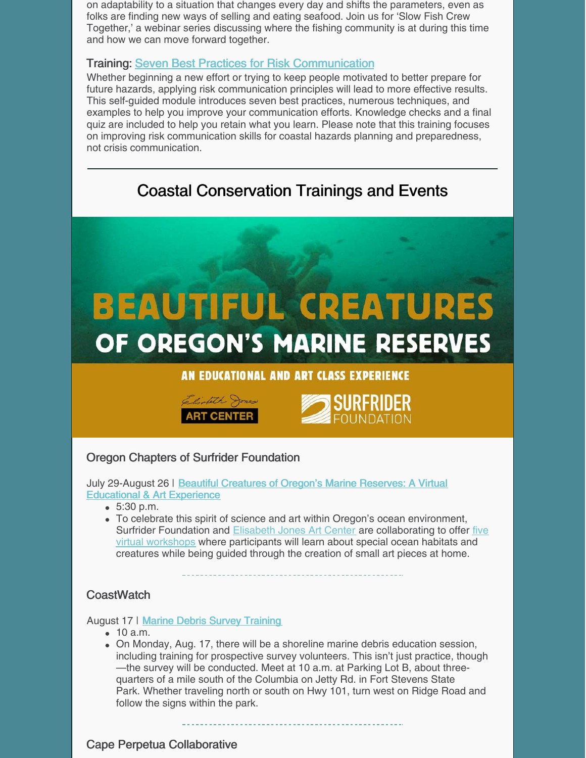on adaptability to a situation that changes every day and shifts the parameters, even as folks are finding new ways of selling and eating seafood. Join us for 'Slow Fish Crew Together,' a webinar series discussing where the fishing community is at during this time and how we can move forward together.

### Training: Seven Best Practices for Risk [Communication](https://coast.noaa.gov/digitalcoast/training/best-practices-module.html)

Whether beginning a new effort or trying to keep people motivated to better prepare for future hazards, applying risk communication principles will lead to more effective results. This self-guided module introduces seven best practices, numerous techniques, and examples to help you improve your communication efforts. Knowledge checks and a final quiz are included to help you retain what you learn. Please note that this training focuses on improving risk communication skills for coastal hazards planning and preparedness, not crisis communication.

## Coastal Conservation Trainings and Events







### Oregon Chapters of Surfrider Foundation

July 29-August 26 | Beautiful Creatures of Oregon's Marine Reserves: A Virtual [Educational](https://oregon.surfrider.org/beautiful-creatures-of-oregons-marine-reserves-an-educational-and-art-experience/) & Art Experience

- $5:30 p.m.$
- To celebrate this spirit of science and art within Oregon's ocean environment, Surfrider Foundation and [Elisabeth](https://www.elisabethjones.art/) Jones Art Center are [collaborating](https://www.eventbrite.com/o/oregon-chapters-of-surfrider-foundation-30339107470) to offer five virtual workshops where participants will learn about special ocean habitats and creatures while being guided through the creation of small art pieces at home.

### **CoastWatch**

August 17 | Marine Debris Survey [Training](https://oregonshores.org/events/marine-debris-survey-training-18)

- 10 a.m.
- On Monday, Aug. 17, there will be a shoreline marine debris education session, including training for prospective survey volunteers. This isn't just practice, though —the survey will be conducted. Meet at 10 a.m. at Parking Lot B, about threequarters of a mile south of the Columbia on Jetty Rd. in Fort Stevens State Park. Whether traveling north or south on Hwy 101, turn west on Ridge Road and follow the signs within the park.

### Cape Perpetua Collaborative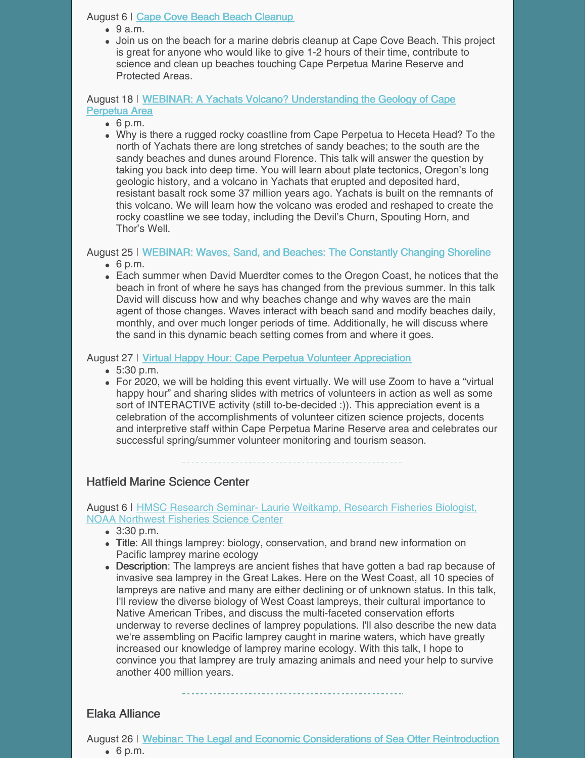### August 6 | Cape Cove Beach Beach [Cleanup](https://capeperpetuacollaborative.org/event/cape-cove-beach-beach-cleanup-aug6/)

- $\bullet$  9 a.m.
- Join us on the beach for a marine debris cleanup at Cape Cove Beach. This project is great for anyone who would like to give 1-2 hours of their time, contribute to science and clean up beaches touching Cape Perpetua Marine Reserve and Protected Areas.

August 18 | WEBINAR: A Yachats Volcano? [Understanding](https://capeperpetuacollaborative.org/event/webinar-a-yachats-volcano-understanding-the-geology-of-cape-perpetua-area/) the Geology of Cape Perpetua Area

- $6$  p.m.
- Why is there a rugged rocky coastline from Cape Perpetua to Heceta Head? To the north of Yachats there are long stretches of sandy beaches; to the south are the sandy beaches and dunes around Florence. This talk will answer the question by taking you back into deep time. You will learn about plate tectonics, Oregon's long geologic history, and a volcano in Yachats that erupted and deposited hard, resistant basalt rock some 37 million years ago. Yachats is built on the remnants of this volcano. We will learn how the volcano was eroded and reshaped to create the rocky coastline we see today, including the Devil's Churn, Spouting Horn, and Thor's Well.

August 25 | [WEBINAR:](https://capeperpetuacollaborative.org/event/webinar-waves-sand-and-beaches-the-constantly-changing-shoreline/) Waves, Sand, and Beaches: The Constantly Changing Shoreline

- $6$  p.m.
- Each summer when David Muerdter comes to the Oregon Coast, he notices that the beach in front of where he says has changed from the previous summer. In this talk David will discuss how and why beaches change and why waves are the main agent of those changes. Waves interact with beach sand and modify beaches daily, monthly, and over much longer periods of time. Additionally, he will discuss where the sand in this dynamic beach setting comes from and where it goes.

August 27 | Virtual Happy Hour: Cape Perpetua Volunteer [Appreciation](https://capeperpetuacollaborative.org/event/cape-perpetua-annual-2020-volunteer-appreciation/)

- 5:30 p.m.
- For 2020, we will be holding this event virtually. We will use Zoom to have a "virtual happy hour" and sharing slides with metrics of volunteers in action as well as some sort of INTERACTIVE activity (still to-be-decided :)). This appreciation event is a celebration of the accomplishments of volunteer citizen science projects, docents and interpretive staff within Cape Perpetua Marine Reserve area and celebrates our successful spring/summer volunteer monitoring and tourism season.

### Hatfield Marine Science Center

### August 6 | HMSC Research Seminar- Laurie [Weitkamp,](https://events.oregonstate.edu/event/hmsc_research_seminar-_laurie_weitkamp_research_fisheries_biologist_noaa_northwest_fisheries_science_center?utm_campaign=widget&utm_medium=widget&utm_source=Oregon+State+University#.XyMCUi2z1ns) Research Fisheries Biologist, NOAA Northwest Fisheries Science Center

- 3:30 p.m.
- Title: All things lamprey: biology, conservation, and brand new information on Pacific lamprey marine ecology
- Description: The lampreys are ancient fishes that have gotten a bad rap because of invasive sea lamprey in the Great Lakes. Here on the West Coast, all 10 species of lampreys are native and many are either declining or of unknown status. In this talk, I'll review the diverse biology of West Coast lampreys, their cultural importance to Native American Tribes, and discuss the multi-faceted conservation efforts underway to reverse declines of lamprey populations. I'll also describe the new data we're assembling on Pacific lamprey caught in marine waters, which have greatly increased our knowledge of lamprey marine ecology. With this talk, I hope to convince you that lamprey are truly amazing animals and need your help to survive another 400 million years.

### Elaka Alliance

August 26 | Webinar: The Legal and Economic [Considerations](https://www.elakhaalliance.org/webinar-legal-and-economic-dimensions-of-sea-otter-reintroduction/) of Sea Otter Reintroduction  $6$  p.m.